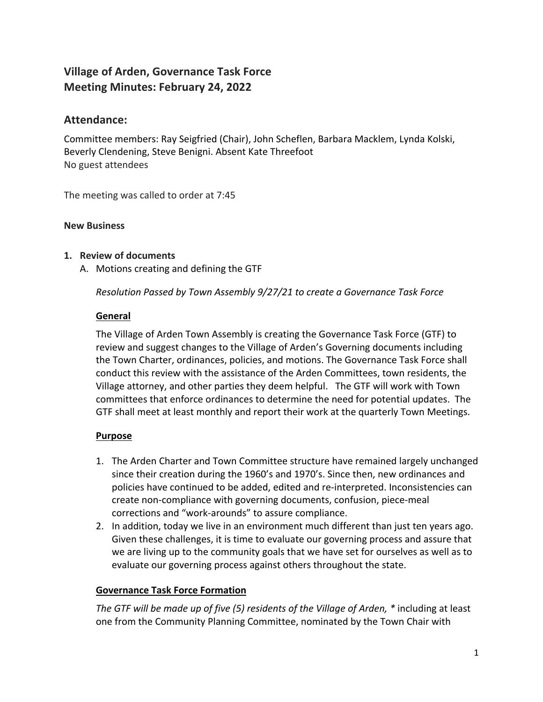# **Village of Arden, Governance Task Force Meeting Minutes: February 24, 2022**

## **Attendance:**

Committee members: Ray Seigfried (Chair), John Scheflen, Barbara Macklem, Lynda Kolski, Beverly Clendening, Steve Benigni. Absent Kate Threefoot No guest attendees

The meeting was called to order at 7:45

### **New Business**

## **1. Review of documents**

A. Motions creating and defining the GTF

*Resolution Passed by Town Assembly 9/27/21 to create a Governance Task Force*

## **General**

The Village of Arden Town Assembly is creating the Governance Task Force (GTF) to review and suggest changes to the Village of Arden's Governing documents including the Town Charter, ordinances, policies, and motions. The Governance Task Force shall conduct this review with the assistance of the Arden Committees, town residents, the Village attorney, and other parties they deem helpful. The GTF will work with Town committees that enforce ordinances to determine the need for potential updates. The GTF shall meet at least monthly and report their work at the quarterly Town Meetings.

## **Purpose**

- 1. The Arden Charter and Town Committee structure have remained largely unchanged since their creation during the 1960's and 1970's. Since then, new ordinances and policies have continued to be added, edited and re-interpreted. Inconsistencies can create non-compliance with governing documents, confusion, piece-meal corrections and "work-arounds" to assure compliance.
- 2. In addition, today we live in an environment much different than just ten years ago. Given these challenges, it is time to evaluate our governing process and assure that we are living up to the community goals that we have set for ourselves as well as to evaluate our governing process against others throughout the state.

## **Governance Task Force Formation**

*The GTF will be made up of five (5) residents of the Village of Arden, \** including at least one from the Community Planning Committee, nominated by the Town Chair with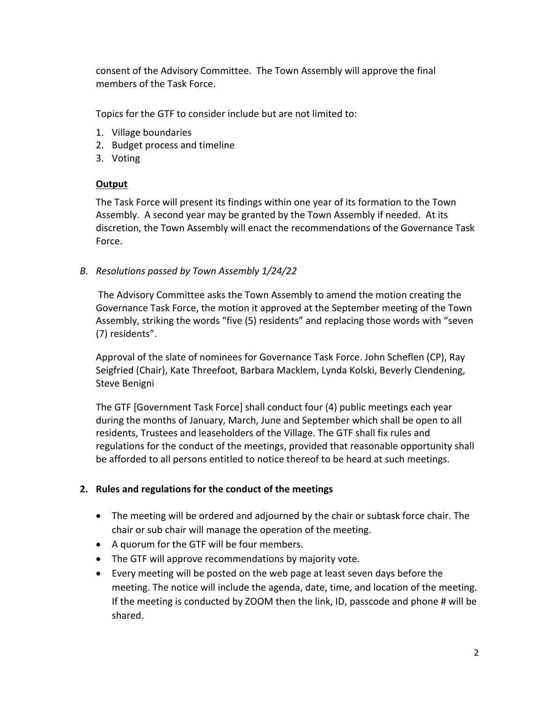consent of the Advisory Committee. The Town Assembly will approve the final members of the Task Force.

Topics for the GTF to consider include but are not limited to:

- 1. Village boundaries
- 2. Budget process and timeline
- 3. Voting

### **Output**

The Task Force will present its findings within one year of its formation to the Town Assembly. A second year may be granted by the Town Assembly if needed. At its discretion, the Town Assembly will enact the recommendations of the Governance Task Force.

### *B. Resolutions passed by Town Assembly 1/24/22*

The Advisory Committee asks the Town Assembly to amend the motion creating the Governance Task Force, the motion it approved at the September meeting of the Town Assembly, striking the words "five (5) residents" and replacing those words with "seven (7) residents".

Approval of the slate of nominees for Governance Task Force. John Scheflen (CP), Ray Seigfried (Chair), Kate Threefoot, Barbara Macklem, Lynda Kolski, Beverly Clendening, Steve Benigni

The GTF [Government Task Force] shall conduct four (4) public meetings each year during the months of January, March, June and September which shall be open to all residents, Trustees and leaseholders of the Village. The GTF shall fix rules and regulations for the conduct of the meetings, provided that reasonable opportunity shall be afforded to all persons entitled to notice thereof to be heard at such meetings.

## **2. Rules and regulations for the conduct of the meetings**

- The meeting will be ordered and adjourned by the chair or subtask force chair. The chair or sub chair will manage the operation of the meeting.
- A quorum for the GTF will be four members.
- The GTF will approve recommendations by majority vote.
- Every meeting will be posted on the web page at least seven days before the meeting. The notice will include the agenda, date, time, and location of the meeting. If the meeting is conducted by ZOOM then the link, ID, passcode and phone # will be shared.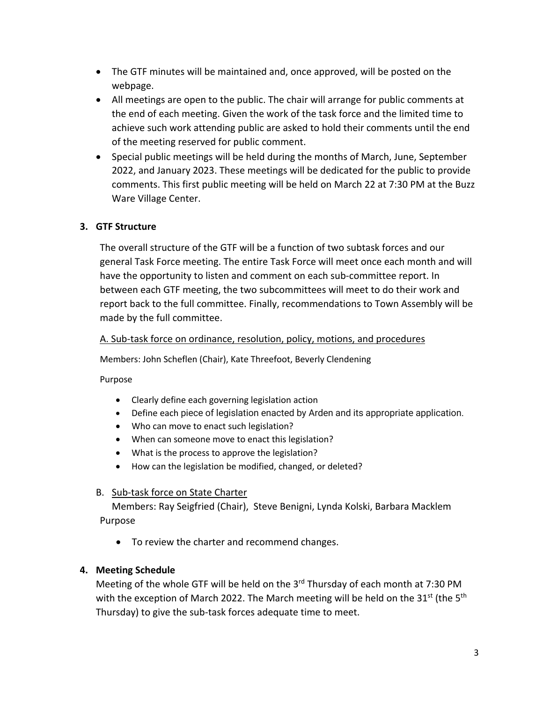- The GTF minutes will be maintained and, once approved, will be posted on the webpage.
- All meetings are open to the public. The chair will arrange for public comments at the end of each meeting. Given the work of the task force and the limited time to achieve such work attending public are asked to hold their comments until the end of the meeting reserved for public comment.
- Special public meetings will be held during the months of March, June, September 2022, and January 2023. These meetings will be dedicated for the public to provide comments. This first public meeting will be held on March 22 at 7:30 PM at the Buzz Ware Village Center.

## **3. GTF Structure**

The overall structure of the GTF will be a function of two subtask forces and our general Task Force meeting. The entire Task Force will meet once each month and will have the opportunity to listen and comment on each sub-committee report. In between each GTF meeting, the two subcommittees will meet to do their work and report back to the full committee. Finally, recommendations to Town Assembly will be made by the full committee.

#### A. Sub-task force on ordinance, resolution, policy, motions, and procedures

Members: John Scheflen (Chair), Kate Threefoot, Beverly Clendening

Purpose

- Clearly define each governing legislation action
- Define each piece of legislation enacted by Arden and its appropriate application.
- Who can move to enact such legislation?
- When can someone move to enact this legislation?
- What is the process to approve the legislation?
- How can the legislation be modified, changed, or deleted?

## B. Sub-task force on State Charter

Members: Ray Seigfried (Chair), Steve Benigni, Lynda Kolski, Barbara Macklem Purpose

• To review the charter and recommend changes.

## **4. Meeting Schedule**

Meeting of the whole GTF will be held on the  $3<sup>rd</sup>$  Thursday of each month at 7:30 PM with the exception of March 2022. The March meeting will be held on the  $31^{st}$  (the  $5^{th}$ Thursday) to give the sub-task forces adequate time to meet.